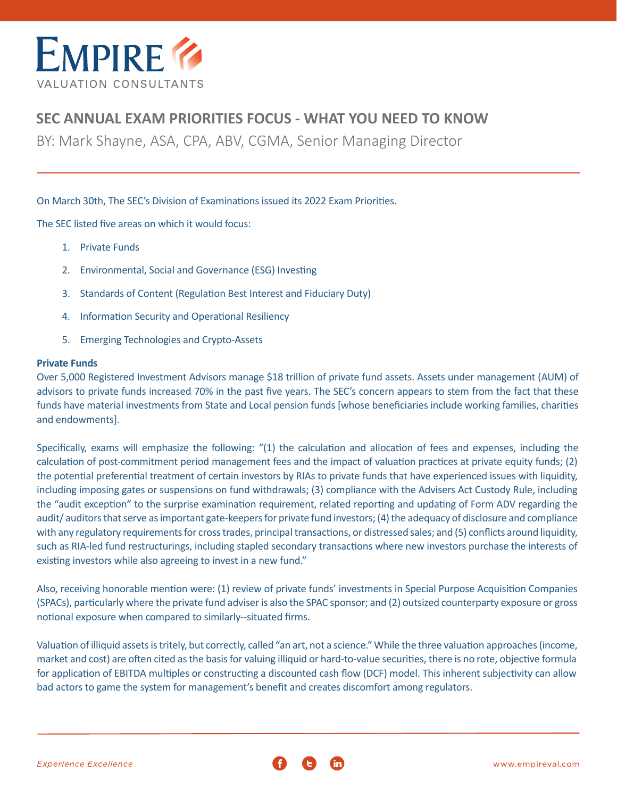

# **SEC ANNUAL EXAM PRIORITIES FOCUS - WHAT YOU NEED TO KNOW**

BY: Mark Shayne, ASA, CPA, ABV, CGMA, Senior Managing Director

On March 30th, The SEC's Division of Examinations issued its 2022 Exam Priorities.

The SEC listed five areas on which it would focus:

- 1. Private Funds
- 2. Environmental, Social and Governance (ESG) Investing
- 3. Standards of Content (Regulation Best Interest and Fiduciary Duty)
- 4. Information Security and Operational Resiliency
- 5. Emerging Technologies and Crypto-Assets

## **Private Funds**

Over 5,000 Registered Investment Advisors manage \$18 trillion of private fund assets. Assets under management (AUM) of advisors to private funds increased 70% in the past five years. The SEC's concern appears to stem from the fact that these funds have material investments from State and Local pension funds [whose beneficiaries include working families, charities and endowments].

Specifically, exams will emphasize the following: "(1) the calculation and allocation of fees and expenses, including the calculation of post-commitment period management fees and the impact of valuation practices at private equity funds; (2) the potential preferential treatment of certain investors by RIAs to private funds that have experienced issues with liquidity, including imposing gates or suspensions on fund withdrawals; (3) compliance with the Advisers Act Custody Rule, including the "audit exception" to the surprise examination requirement, related reporting and updating of Form ADV regarding the audit/ auditors that serve as important gate-keepers for private fund investors; (4) the adequacy of disclosure and compliance with any regulatory requirements for cross trades, principal transactions, or distressed sales; and (5) conflicts around liquidity, such as RIA-led fund restructurings, including stapled secondary transactions where new investors purchase the interests of existing investors while also agreeing to invest in a new fund."

Also, receiving honorable mention were: (1) review of private funds' investments in Special Purpose Acquisition Companies (SPACs), particularly where the private fund adviser is also the SPAC sponsor; and (2) outsized counterparty exposure or gross notional exposure when compared to similarly--situated firms.

Valuation of illiquid assets is tritely, but correctly, called "an art, not a science." While the three valuation approaches (income, market and cost) are often cited as the basis for valuing illiquid or hard-to-value securities, there is no rote, objective formula for application of EBITDA multiples or constructing a discounted cash flow (DCF) model. This inherent subjectivity can allow bad actors to game the system for management's benefit and creates discomfort among regulators.

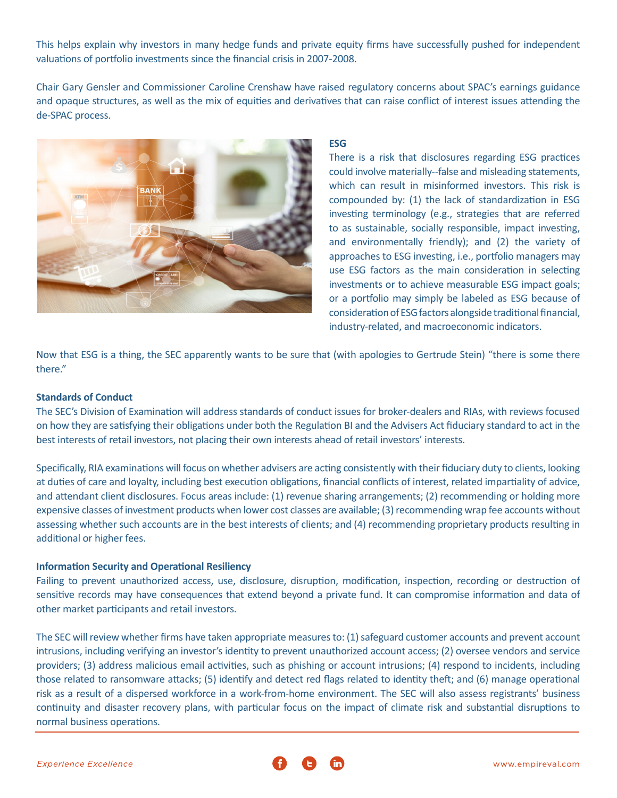This helps explain why investors in many hedge funds and private equity firms have successfully pushed for independent valuations of portfolio investments since the financial crisis in 2007-2008.

Chair Gary Gensler and Commissioner Caroline Crenshaw have raised regulatory concerns about SPAC's earnings guidance and opaque structures, as well as the mix of equities and derivatives that can raise conflict of interest issues attending the de-SPAC process.



# **ESG**

There is a risk that disclosures regarding ESG practices could involve materially--false and misleading statements, which can result in misinformed investors. This risk is compounded by: (1) the lack of standardization in ESG investing terminology (e.g., strategies that are referred to as sustainable, socially responsible, impact investing, and environmentally friendly); and (2) the variety of approaches to ESG investing, i.e., portfolio managers may use ESG factors as the main consideration in selecting investments or to achieve measurable ESG impact goals; or a portfolio may simply be labeled as ESG because of consideration of ESG factors alongside traditional financial, industry-related, and macroeconomic indicators.

Now that ESG is a thing, the SEC apparently wants to be sure that (with apologies to Gertrude Stein) "there is some there there."

#### **Standards of Conduct**

The SEC's Division of Examination will address standards of conduct issues for broker-dealers and RIAs, with reviews focused on how they are satisfying their obligations under both the Regulation BI and the Advisers Act fiduciary standard to act in the best interests of retail investors, not placing their own interests ahead of retail investors' interests.

Specifically, RIA examinations will focus on whether advisers are acting consistently with their fiduciary duty to clients, looking at duties of care and loyalty, including best execution obligations, financial conflicts of interest, related impartiality of advice, and attendant client disclosures. Focus areas include: (1) revenue sharing arrangements; (2) recommending or holding more expensive classes of investment products when lower cost classes are available; (3) recommending wrap fee accounts without assessing whether such accounts are in the best interests of clients; and (4) recommending proprietary products resulting in additional or higher fees.

#### **Information Security and Operational Resiliency**

Failing to prevent unauthorized access, use, disclosure, disruption, modification, inspection, recording or destruction of sensitive records may have consequences that extend beyond a private fund. It can compromise information and data of other market participants and retail investors.

The SEC will review whether firms have taken appropriate measures to: (1) safeguard customer accounts and prevent account intrusions, including verifying an investor's identity to prevent unauthorized account access; (2) oversee vendors and service providers; (3) address malicious email activities, such as phishing or account intrusions; (4) respond to incidents, including those related to ransomware attacks; (5) identify and detect red flags related to identity theft; and (6) manage operational risk as a result of a dispersed workforce in a work-from-home environment. The SEC will also assess registrants' business continuity and disaster recovery plans, with particular focus on the impact of climate risk and substantial disruptions to normal business operations.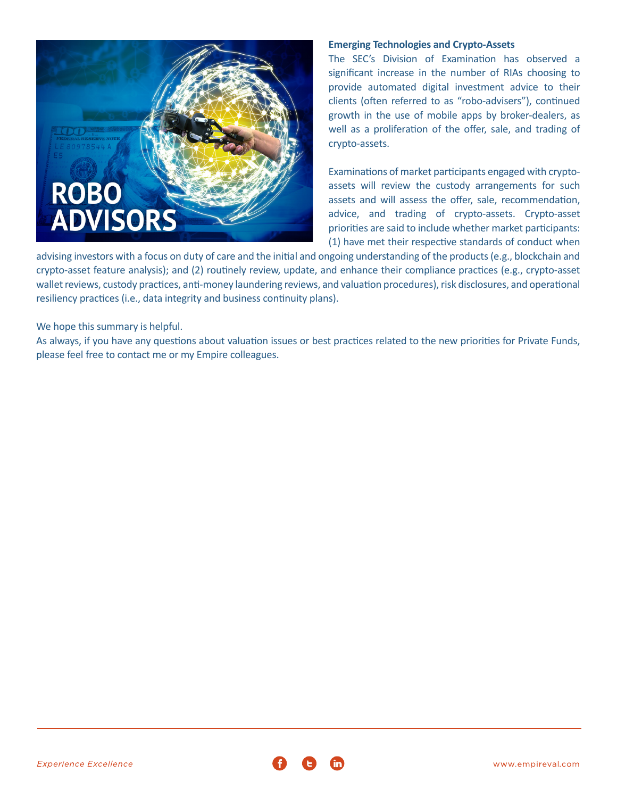

### **Emerging Technologies and Crypto-Assets**

The SEC's Division of Examination has observed a significant increase in the number of RIAs choosing to provide automated digital investment advice to their clients (often referred to as "robo-advisers"), continued growth in the use of mobile apps by broker-dealers, as well as a proliferation of the offer, sale, and trading of crypto-assets.

Examinations of market participants engaged with cryptoassets will review the custody arrangements for such assets and will assess the offer, sale, recommendation, advice, and trading of crypto-assets. Crypto-asset priorities are said to include whether market participants: (1) have met their respective standards of conduct when

advising investors with a focus on duty of care and the initial and ongoing understanding of the products (e.g., blockchain and crypto-asset feature analysis); and (2) routinely review, update, and enhance their compliance practices (e.g., crypto-asset wallet reviews, custody practices, anti-money laundering reviews, and valuation procedures), risk disclosures, and operational resiliency practices (i.e., data integrity and business continuity plans).

We hope this summary is helpful.

As always, if you have any questions about valuation issues or best practices related to the new priorities for Private Funds, please feel free to contact me or my Empire colleagues.